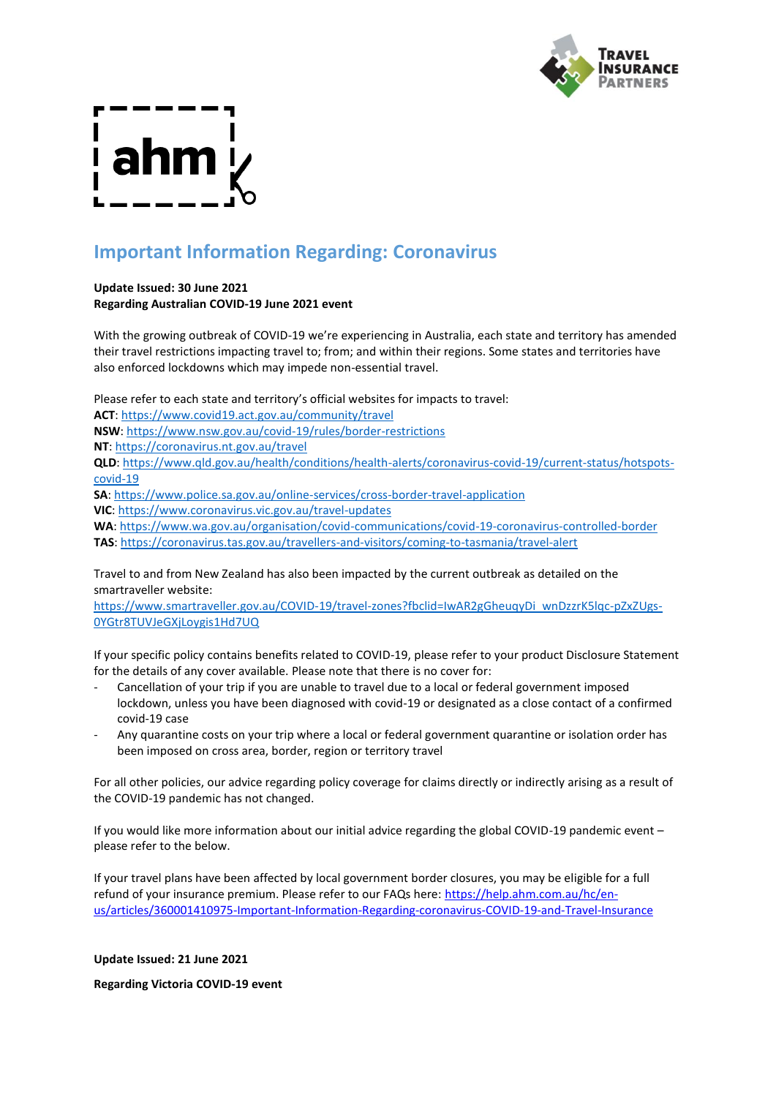

# **Important Information Regarding: Coronavirus**

### **Update Issued: 30 June 2021 Regarding Australian COVID-19 June 2021 event**

With the growing outbreak of COVID-19 we're experiencing in Australia, each state and territory has amended their travel restrictions impacting travel to; from; and within their regions. Some states and territories have also enforced lockdowns which may impede non-essential travel.

Please refer to each state and territory's official websites for impacts to travel:

**ACT**: [https://www.covid19.act.gov.au/community/travel](https://urldefense.com/v3/__https:/www.covid19.act.gov.au/community/travel__;!!F1chEv4xxLU1Ecc!2Lhfx_g2TmCKPc8uEbNJcUvpNYLGgapzdWcxjIeFkKgHfZGwPm5fw4dYiqzUecPEi2b3Xkg$)

**NSW**: [https://www.nsw.gov.au/covid-19/rules/border-restrictions](https://urldefense.com/v3/__https:/www.nsw.gov.au/covid-19/rules/border-restrictions__;!!F1chEv4xxLU1Ecc!2Lhfx_g2TmCKPc8uEbNJcUvpNYLGgapzdWcxjIeFkKgHfZGwPm5fw4dYiqzUecPEg6b-8R0$)

**NT**[: https://coronavirus.nt.gov.au/travel](https://urldefense.com/v3/__https:/coronavirus.nt.gov.au/travel__;!!F1chEv4xxLU1Ecc!2Lhfx_g2TmCKPc8uEbNJcUvpNYLGgapzdWcxjIeFkKgHfZGwPm5fw4dYiqzUecPEVt6G3OE$)

**QLD**: [https://www.qld.gov.au/health/conditions/health-alerts/coronavirus-covid-19/current-status/hotspots](https://urldefense.com/v3/__https:/www.qld.gov.au/health/conditions/health-alerts/coronavirus-covid-19/current-status/hotspots-covid-19__;!!F1chEv4xxLU1Ecc!2Lhfx_g2TmCKPc8uEbNJcUvpNYLGgapzdWcxjIeFkKgHfZGwPm5fw4dYiqzUecPEeNR-u7k$)[covid-19](https://urldefense.com/v3/__https:/www.qld.gov.au/health/conditions/health-alerts/coronavirus-covid-19/current-status/hotspots-covid-19__;!!F1chEv4xxLU1Ecc!2Lhfx_g2TmCKPc8uEbNJcUvpNYLGgapzdWcxjIeFkKgHfZGwPm5fw4dYiqzUecPEeNR-u7k$)

**SA**[: https://www.police.sa.gov.au/online-services/cross-border-travel-application](https://urldefense.com/v3/__https:/www.police.sa.gov.au/online-services/cross-border-travel-application__;!!F1chEv4xxLU1Ecc!2Lhfx_g2TmCKPc8uEbNJcUvpNYLGgapzdWcxjIeFkKgHfZGwPm5fw4dYiqzUecPEZje8DAw$)

**VIC**: [https://www.coronavirus.vic.gov.au/travel-updates](https://urldefense.com/v3/__https:/www.coronavirus.vic.gov.au/travel-updates__;!!F1chEv4xxLU1Ecc!2Lhfx_g2TmCKPc8uEbNJcUvpNYLGgapzdWcxjIeFkKgHfZGwPm5fw4dYiqzUecPEqSgZ3OU$)

**WA**: [https://www.wa.gov.au/organisation/covid-communications/covid-19-coronavirus-controlled-border](https://urldefense.com/v3/__https:/www.wa.gov.au/organisation/covid-communications/covid-19-coronavirus-controlled-border__;!!F1chEv4xxLU1Ecc!2Lhfx_g2TmCKPc8uEbNJcUvpNYLGgapzdWcxjIeFkKgHfZGwPm5fw4dYiqzUecPENYv0wWw$) **TAS**[: https://coronavirus.tas.gov.au/travellers-and-visitors/coming-to-tasmania/travel-alert](https://urldefense.com/v3/__https:/coronavirus.tas.gov.au/travellers-and-visitors/coming-to-tasmania/travel-alert__;!!F1chEv4xxLU1Ecc!2Lhfx_g2TmCKPc8uEbNJcUvpNYLGgapzdWcxjIeFkKgHfZGwPm5fw4dYiqzUecPEcH1PWZc$)

Travel to and from New Zealand has also been impacted by the current outbreak as detailed on the smartraveller website:

[https://www.smartraveller.gov.au/COVID-19/travel-zones?fbclid=IwAR2gGheuqyDi\\_wnDzzrK5lqc-pZxZUgs-](https://urldefense.com/v3/__https:/www.smartraveller.gov.au/COVID-19/travel-zones?fbclid=IwAR2gGheuqyDi_wnDzzrK5lqc-pZxZUgs-0YGtr8TUVJeGXjLoygis1Hd7UQ__;!!F1chEv4xxLU1Ecc!2Lhfx_g2TmCKPc8uEbNJcUvpNYLGgapzdWcxjIeFkKgHfZGwPm5fw4dYiqzUecPE0xYAWKM$)[0YGtr8TUVJeGXjLoygis1Hd7UQ](https://urldefense.com/v3/__https:/www.smartraveller.gov.au/COVID-19/travel-zones?fbclid=IwAR2gGheuqyDi_wnDzzrK5lqc-pZxZUgs-0YGtr8TUVJeGXjLoygis1Hd7UQ__;!!F1chEv4xxLU1Ecc!2Lhfx_g2TmCKPc8uEbNJcUvpNYLGgapzdWcxjIeFkKgHfZGwPm5fw4dYiqzUecPE0xYAWKM$)

If your specific policy contains benefits related to COVID-19, please refer to your product Disclosure Statement for the details of any cover available. Please note that there is no cover for:

- Cancellation of your trip if you are unable to travel due to a local or federal government imposed lockdown, unless you have been diagnosed with covid-19 or designated as a close contact of a confirmed covid-19 case
- Any quarantine costs on your trip where a local or federal government quarantine or isolation order has been imposed on cross area, border, region or territory travel

For all other policies, our advice regarding policy coverage for claims directly or indirectly arising as a result of the COVID-19 pandemic has not changed.

If you would like more information about our initial advice regarding the global COVID-19 pandemic event – please refer to the below.

If your travel plans have been affected by local government border closures, you may be eligible for a full refund of your insurance premium. Please refer to our FAQs here: [https://help.ahm.com.au/hc/en](https://help.ahm.com.au/hc/en-us/articles/360001410975-Important-Information-Regarding-coronavirus-COVID-19-and-Travel-Insurance)[us/articles/360001410975-Important-Information-Regarding-coronavirus-COVID-19-and-Travel-Insurance](https://help.ahm.com.au/hc/en-us/articles/360001410975-Important-Information-Regarding-coronavirus-COVID-19-and-Travel-Insurance)

**Update Issued: 21 June 2021**

**Regarding Victoria COVID-19 event**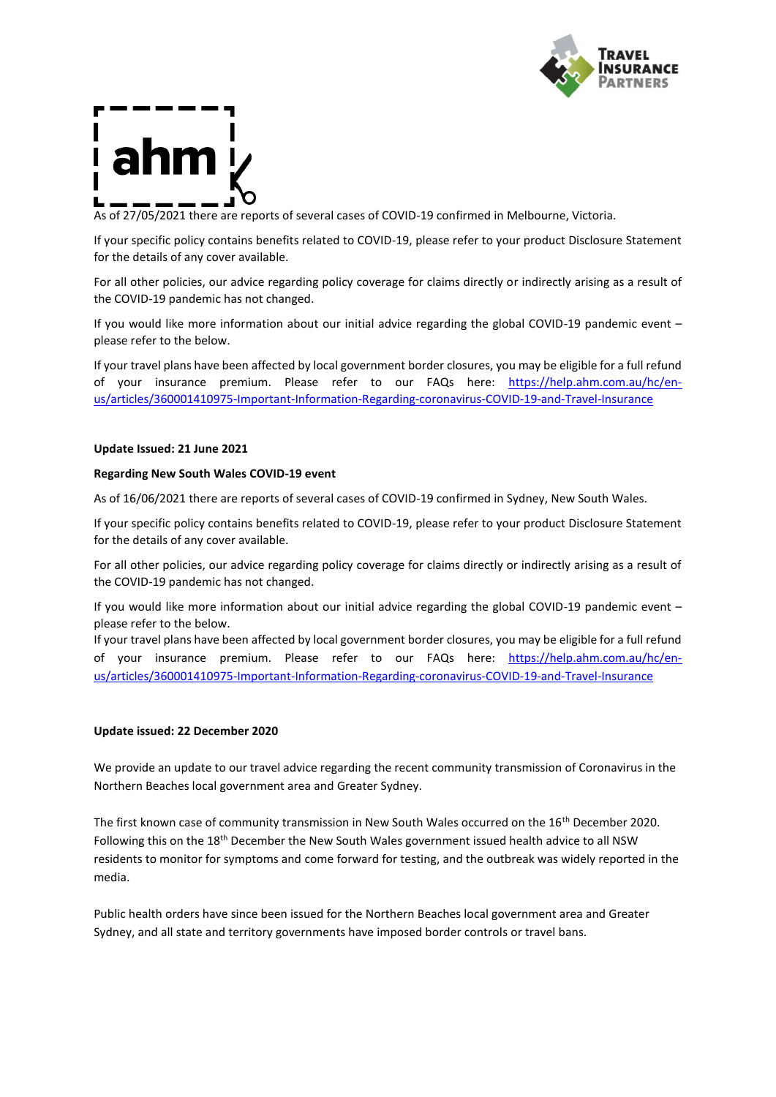

As of 27/05/2021 there are reports of several cases of COVID-19 confirmed in Melbourne, Victoria.

If your specific policy contains benefits related to COVID-19, please refer to your product Disclosure Statement for the details of any cover available.

For all other policies, our advice regarding policy coverage for claims directly or indirectly arising as a result of the COVID-19 pandemic has not changed.

If you would like more information about our initial advice regarding the global COVID-19 pandemic event – please refer to the below.

If your travel plans have been affected by local government border closures, you may be eligible for a full refund of your insurance premium. Please refer to our FAQs here: [https://help.ahm.com.au/hc/en](https://help.ahm.com.au/hc/en-us/articles/360001410975-Important-Information-Regarding-coronavirus-COVID-19-and-Travel-Insurance)[us/articles/360001410975-Important-Information-Regarding-coronavirus-COVID-19-and-Travel-Insurance](https://help.ahm.com.au/hc/en-us/articles/360001410975-Important-Information-Regarding-coronavirus-COVID-19-and-Travel-Insurance)

### **Update Issued: 21 June 2021**

### **Regarding New South Wales COVID-19 event**

As of 16/06/2021 there are reports of several cases of COVID-19 confirmed in Sydney, New South Wales.

If your specific policy contains benefits related to COVID-19, please refer to your product Disclosure Statement for the details of any cover available.

For all other policies, our advice regarding policy coverage for claims directly or indirectly arising as a result of the COVID-19 pandemic has not changed.

If you would like more information about our initial advice regarding the global COVID-19 pandemic event – please refer to the below.

If your travel plans have been affected by local government border closures, you may be eligible for a full refund of your insurance premium. Please refer to our FAQs here: [https://help.ahm.com.au/hc/en](https://help.ahm.com.au/hc/en-us/articles/360001410975-Important-Information-Regarding-coronavirus-COVID-19-and-Travel-Insurance)[us/articles/360001410975-Important-Information-Regarding-coronavirus-COVID-19-and-Travel-Insurance](https://help.ahm.com.au/hc/en-us/articles/360001410975-Important-Information-Regarding-coronavirus-COVID-19-and-Travel-Insurance)

### **Update issued: 22 December 2020**

We provide an update to our travel advice regarding the recent community transmission of Coronavirus in the Northern Beaches local government area and Greater Sydney.

The first known case of community transmission in New South Wales occurred on the 16<sup>th</sup> December 2020. Following this on the 18th December the New South Wales government issued health advice to all NSW residents to monitor for symptoms and come forward for testing, and the outbreak was widely reported in the media.

Public health orders have since been issued for the Northern Beaches local government area and Greater Sydney, and all state and territory governments have imposed border controls or travel bans.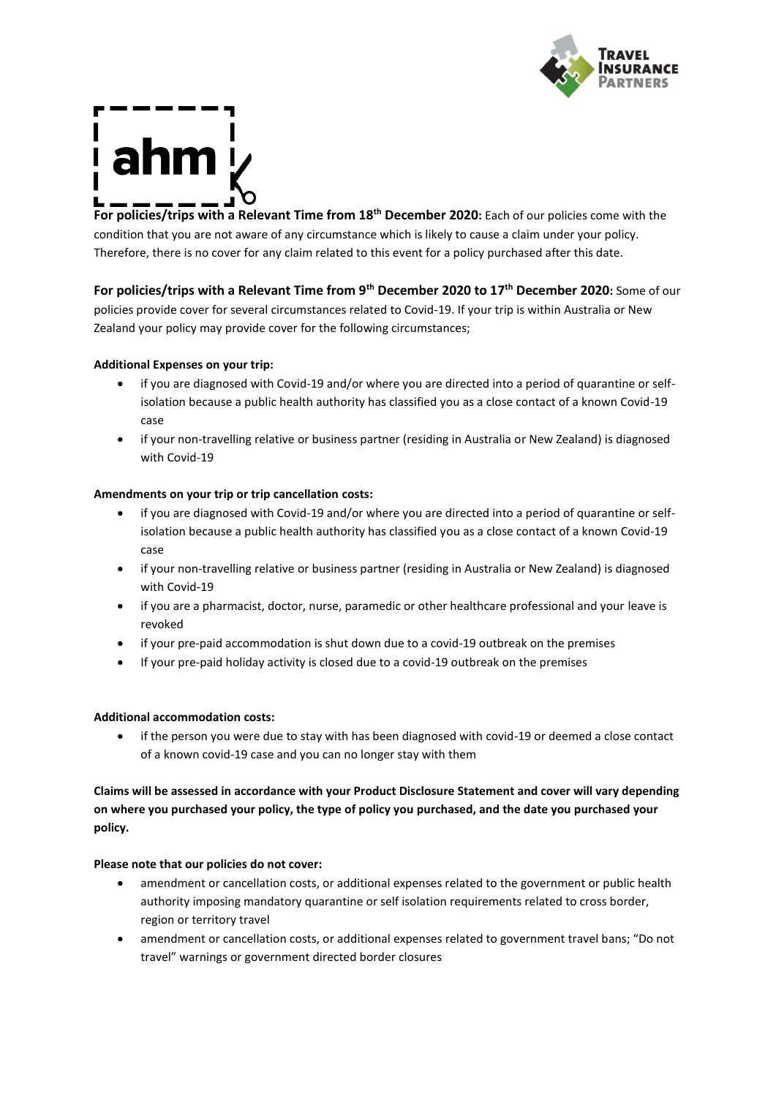

**For policies/trips with a Relevant Time from 18th December 2020:** Each of our policies come with the condition that you are not aware of any circumstance which is likely to cause a claim under your policy. Therefore, there is no cover for any claim related to this event for a policy purchased after this date.

**For policies/trips with a Relevant Time from 9th December 2020 to 17th December 2020:** Some of our policies provide cover for several circumstances related to Covid-19. If your trip is within Australia or New

Zealand your policy may provide cover for the following circumstances;

# **Additional Expenses on your trip:**

- if you are diagnosed with Covid-19 and/or where you are directed into a period of quarantine or selfisolation because a public health authority has classified you as a close contact of a known Covid-19 case
- if your non-travelling relative or business partner (residing in Australia or New Zealand) is diagnosed with Covid-19

# **Amendments on your trip or trip cancellation costs:**

- if you are diagnosed with Covid-19 and/or where you are directed into a period of quarantine or selfisolation because a public health authority has classified you as a close contact of a known Covid-19 case
- if your non-travelling relative or business partner (residing in Australia or New Zealand) is diagnosed with Covid-19
- if you are a pharmacist, doctor, nurse, paramedic or other healthcare professional and your leave is revoked
- if your pre-paid accommodation is shut down due to a covid-19 outbreak on the premises
- If your pre-paid holiday activity is closed due to a covid-19 outbreak on the premises

## **Additional accommodation costs:**

• if the person you were due to stay with has been diagnosed with covid-19 or deemed a close contact of a known covid-19 case and you can no longer stay with them

**Claims will be assessed in accordance with your Product Disclosure Statement and cover will vary depending on where you purchased your policy, the type of policy you purchased, and the date you purchased your policy.**

## **Please note that our policies do not cover:**

- amendment or cancellation costs, or additional expenses related to the government or public health authority imposing mandatory quarantine or self isolation requirements related to cross border, region or territory travel
- amendment or cancellation costs, or additional expenses related to government travel bans; "Do not travel" warnings or government directed border closures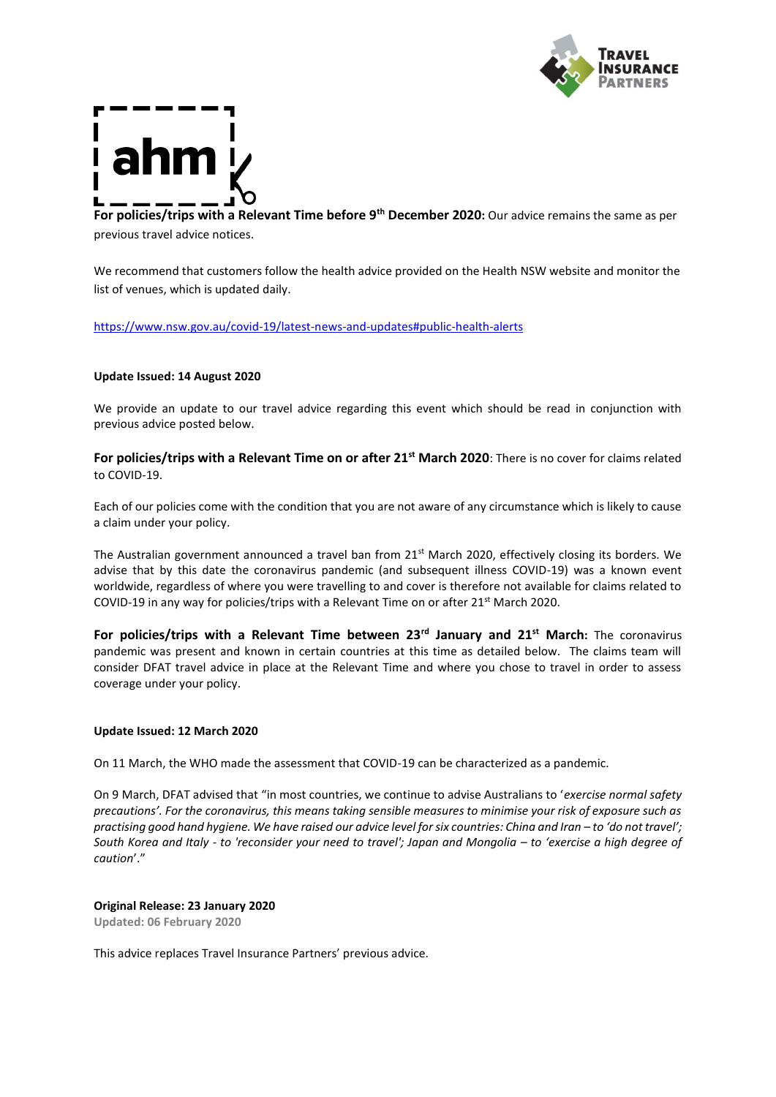

**For policies/trips with a Relevant Time before 9th December 2020:** Our advice remains the same as per previous travel advice notices.

We recommend that customers follow the health advice provided on the Health NSW website and monitor the list of venues, which is updated daily.

<https://www.nsw.gov.au/covid-19/latest-news-and-updates#public-health-alerts>

### **Update Issued: 14 August 2020**

We provide an update to our travel advice regarding this event which should be read in conjunction with previous advice posted below.

**For policies/trips with a Relevant Time on or after 21st March 2020**: There is no cover for claims related to COVID-19.

Each of our policies come with the condition that you are not aware of any circumstance which is likely to cause a claim under your policy.

The Australian government announced a travel ban from 21<sup>st</sup> March 2020, effectively closing its borders. We advise that by this date the coronavirus pandemic (and subsequent illness COVID-19) was a known event worldwide, regardless of where you were travelling to and cover is therefore not available for claims related to COVID-19 in any way for policies/trips with a Relevant Time on or after 21<sup>st</sup> March 2020.

**For policies/trips with a Relevant Time between 23rd January and 21st March:** The coronavirus pandemic was present and known in certain countries at this time as detailed below. The claims team will consider DFAT travel advice in place at the Relevant Time and where you chose to travel in order to assess coverage under your policy.

### **Update Issued: 12 March 2020**

On 11 March, the WHO made the assessment that COVID-19 can be characterized as a pandemic.

On 9 March, DFAT advised that "in most countries, we continue to advise Australians to '*exercise normal safety precautions'. For the coronavirus, this means taking sensible measures to minimise your risk of exposure such as practising good hand hygiene. We have raised our advice level for six countries: China and Iran – to 'do not travel'; South Korea and Italy - to 'reconsider your need to travel'; Japan and Mongolia – to 'exercise a high degree of caution*'."

### **Original Release: 23 January 2020**

**Updated: 06 February 2020**

This advice replaces Travel Insurance Partners' previous advice.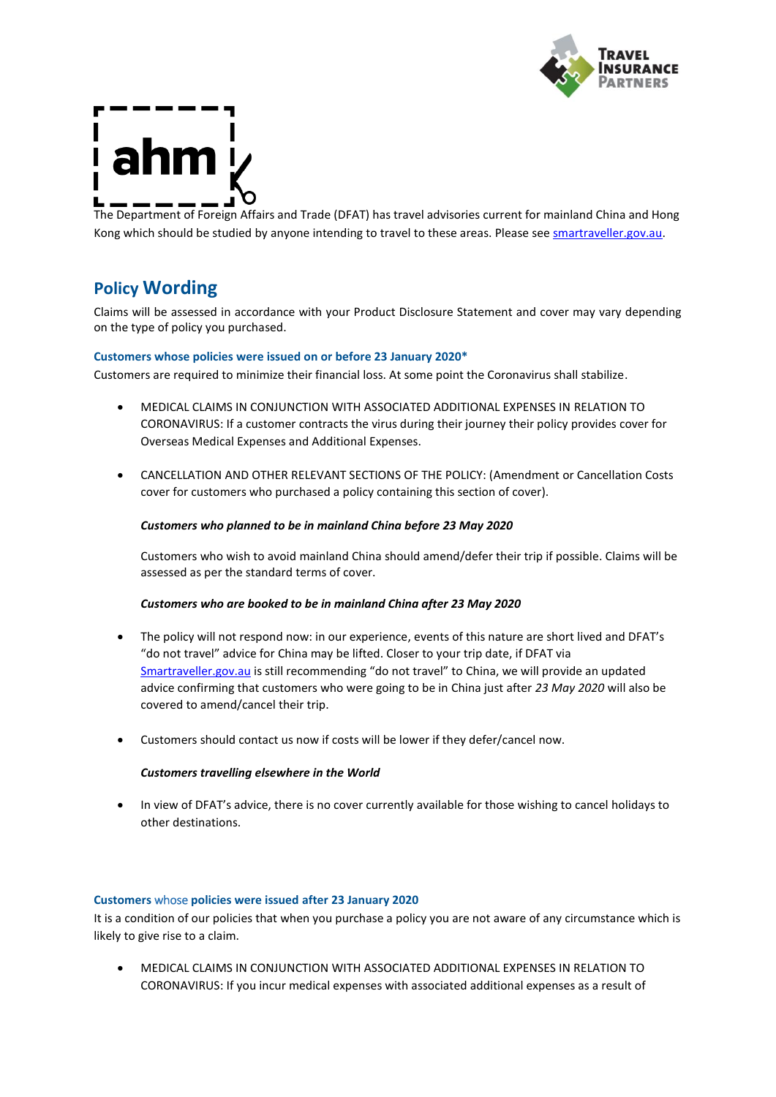



The Department of Foreign Affairs and Trade (DFAT) has travel advisories current for mainland China and Hong Kong which should be studied by anyone intending to travel to these areas. Please se[e smartraveller.gov.au.](https://www.smartraveller.gov.au/)

# **Policy Wording**

Claims will be assessed in accordance with your Product Disclosure Statement and cover may vary depending on the type of policy you purchased.

### **Customers whose policies were issued on or before 23 January 2020\***

Customers are required to minimize their financial loss. At some point the Coronavirus shall stabilize.

- MEDICAL CLAIMS IN CONJUNCTION WITH ASSOCIATED ADDITIONAL EXPENSES IN RELATION TO CORONAVIRUS: If a customer contracts the virus during their journey their policy provides cover for Overseas Medical Expenses and Additional Expenses.
- CANCELLATION AND OTHER RELEVANT SECTIONS OF THE POLICY: (Amendment or Cancellation Costs cover for customers who purchased a policy containing this section of cover).

### *Customers who planned to be in mainland China before 23 May 2020*

Customers who wish to avoid mainland China should amend/defer their trip if possible. Claims will be assessed as per the standard terms of cover.

### *Customers who are booked to be in mainland China after 23 May 2020*

- The policy will not respond now: in our experience, events of this nature are short lived and DFAT's "do not travel" advice for China may be lifted. Closer to your trip date, if DFAT via [Smartraveller.gov.au](https://www.smartraveller.gov.au/) is still recommending "do not travel" to China, we will provide an updated advice confirming that customers who were going to be in China just after *23 May 2020* will also be covered to amend/cancel their trip.
- Customers should contact us now if costs will be lower if they defer/cancel now.

### *Customers travelling elsewhere in the World*

• In view of DFAT's advice, there is no cover currently available for those wishing to cancel holidays to other destinations.

### **Customers** whose **policies were issued after 23 January 2020**

It is a condition of our policies that when you purchase a policy you are not aware of any circumstance which is likely to give rise to a claim.

• MEDICAL CLAIMS IN CONJUNCTION WITH ASSOCIATED ADDITIONAL EXPENSES IN RELATION TO CORONAVIRUS: If you incur medical expenses with associated additional expenses as a result of